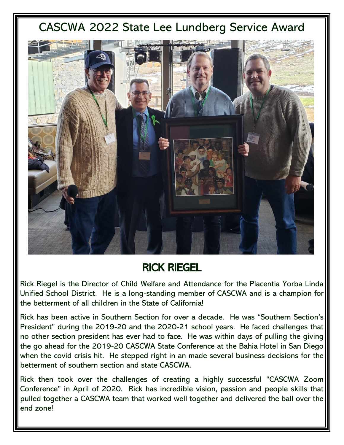## CASCWA 2022 State Lee Lundberg Service Award



## RICK RIEGEL

Rick Riegel is the Director of Child Welfare and Attendance for the Placentia Yorba Linda Unified School District. He is a long-standing member of CASCWA and is a champion for the betterment of all children in the State of California!

Rick has been active in Southern Section for over a decade. He was "Southern Section's President" during the 2019-20 and the 2020-21 school years. He faced challenges that no other section president has ever had to face. He was within days of pulling the giving the go ahead for the 2019-20 CASCWA State Conference at the Bahia Hotel in San Diego when the covid crisis hit. He stepped right in an made several business decisions for the betterment of southern section and state CASCWA.

Rick then took over the challenges of creating a highly successful "CASCWA Zoom Conference" in April of 2020. Rick has incredible vision, passion and people skills that pulled together a CASCWA team that worked well together and delivered the ball over the end zone!